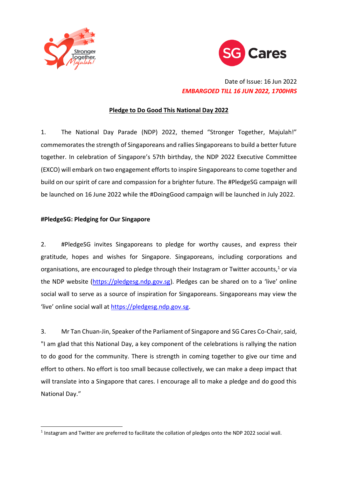



# Date of Issue: 16 Jun 2022 *EMBARGOED TILL 16 JUN 2022, 1700HRS*

# **Pledge to Do Good This National Day 2022**

1. The National Day Parade (NDP) 2022, themed "Stronger Together, Majulah!" commemorates the strength of Singaporeans and rallies Singaporeans to build a better future together. In celebration of Singapore's 57th birthday, the NDP 2022 Executive Committee (EXCO) will embark on two engagement efforts to inspire Singaporeans to come together and build on our spirit of care and compassion for a brighter future. The #PledgeSG campaign will be launched on 16 June 2022 while the #DoingGood campaign will be launched in July 2022.

# **#PledgeSG: Pledging for Our Singapore**

-

2. #PledgeSG invites Singaporeans to pledge for worthy causes, and express their gratitude, hopes and wishes for Singapore. Singaporeans, including corporations and organisations, are encouraged to pledge through their Instagram or Twitter accounts,<sup>1</sup> or via the NDP website [\(https://pledgesg.ndp.gov.sg\)](https://pledgesg.ndp.gov.sg/). Pledges can be shared on to a 'live' online social wall to serve as a source of inspiration for Singaporeans. Singaporeans may view the 'live' online social wall at [https://pledgesg.ndp.gov.sg.](https://pledgesg.ndp.gov.sg/)

3. Mr Tan Chuan-Jin, Speaker of the Parliament of Singapore and SG Cares Co-Chair,said, "I am glad that this National Day, a key component of the celebrations is rallying the nation to do good for the community. There is strength in coming together to give our time and effort to others. No effort is too small because collectively, we can make a deep impact that will translate into a Singapore that cares. I encourage all to make a pledge and do good this National Day."

<sup>&</sup>lt;sup>1</sup> Instagram and Twitter are preferred to facilitate the collation of pledges onto the NDP 2022 social wall.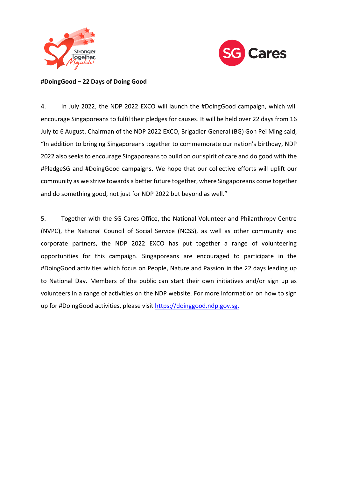



### **#DoingGood – 22 Days of Doing Good**

4. In July 2022, the NDP 2022 EXCO will launch the #DoingGood campaign, which will encourage Singaporeans to fulfil their pledges for causes. It will be held over 22 days from 16 July to 6 August. Chairman of the NDP 2022 EXCO, Brigadier-General (BG) Goh Pei Ming said, "In addition to bringing Singaporeans together to commemorate our nation's birthday, NDP 2022 also seeks to encourage Singaporeans to build on our spirit of care and do good with the #PledgeSG and #DoingGood campaigns. We hope that our collective efforts will uplift our community as we strive towards a better future together, where Singaporeans come together and do something good, not just for NDP 2022 but beyond as well."

5. Together with the SG Cares Office, the National Volunteer and Philanthropy Centre (NVPC), the National Council of Social Service (NCSS), as well as other community and corporate partners, the NDP 2022 EXCO has put together a range of volunteering opportunities for this campaign. Singaporeans are encouraged to participate in the #DoingGood activities which focus on People, Nature and Passion in the 22 days leading up to National Day. Members of the public can start their own initiatives and/or sign up as volunteers in a range of activities on the NDP website. For more information on how to sign up for #DoingGood activities, please visit [https://doinggood.ndp.gov.sg.](https://doinggood.ndp.gov.sg/)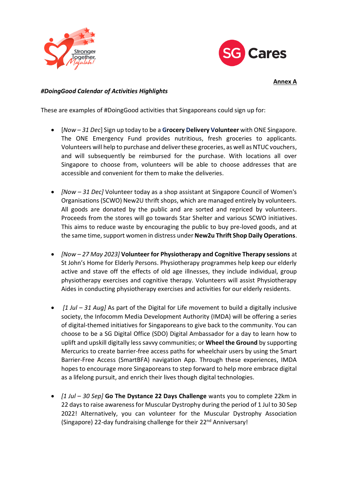



**Annex A**

### *#DoingGood Calendar of Activities Highlights*

These are examples of #DoingGood activities that Singaporeans could sign up for:

- [*Now – 31 Dec*] Sign up today to be a **Grocery Delivery Volunteer** with ONE Singapore. The ONE Emergency Fund provides nutritious, fresh groceries to applicants. Volunteers will help to purchase and deliver these groceries, as well as NTUC vouchers, and will subsequently be reimbursed for the purchase. With locations all over Singapore to choose from, volunteers will be able to choose addresses that are accessible and convenient for them to make the deliveries.
- *[Now – 31 Dec]* Volunteer today as a shop assistant at Singapore Council of Women's Organisations (SCWO) New2U thrift shops, which are managed entirely by volunteers. All goods are donated by the public and are sorted and repriced by volunteers. Proceeds from the stores will go towards Star Shelter and various SCWO initiatives. This aims to reduce waste by encouraging the public to buy pre-loved goods, and at the same time, support women in distress under **New2u Thrift Shop Daily Operations**.
- *[Now – 27 May 2023]* **Volunteer for Physiotherapy and Cognitive Therapy sessions** at St John's Home for Elderly Persons. Physiotherapy programmes help keep our elderly active and stave off the effects of old age illnesses, they include individual, group physiotherapy exercises and cognitive therapy. Volunteers will assist Physiotherapy Aides in conducting physiotherapy exercises and activities for our elderly residents.
- *[1 Jul – 31 Aug]* As part of the Digital for Life movement to build a digitally inclusive society, the Infocomm Media Development Authority (IMDA) will be offering a series of digital-themed initiatives for Singaporeans to give back to the community. You can choose to be a SG Digital Office (SDO) Digital Ambassador for a day to learn how to uplift and upskill digitally less savvy communities; or **Wheel the Ground** by supporting Mercurics to create barrier-free access paths for wheelchair users by using the Smart Barrier-Free Access (SmartBFA) navigation App. Through these experiences, IMDA hopes to encourage more Singaporeans to step forward to help more embrace digital as a lifelong pursuit, and enrich their lives though digital technologies.
- *[1 Jul – 30 Sep]* **Go The Dystance 22 Days Challenge** wants you to complete 22km in 22 days to raise awareness for Muscular Dystrophy during the period of 1 Jul to 30 Sep 2022! Alternatively, you can volunteer for the Muscular Dystrophy Association (Singapore) 22-day fundraising challenge for their 22<sup>nd</sup> Anniversary!